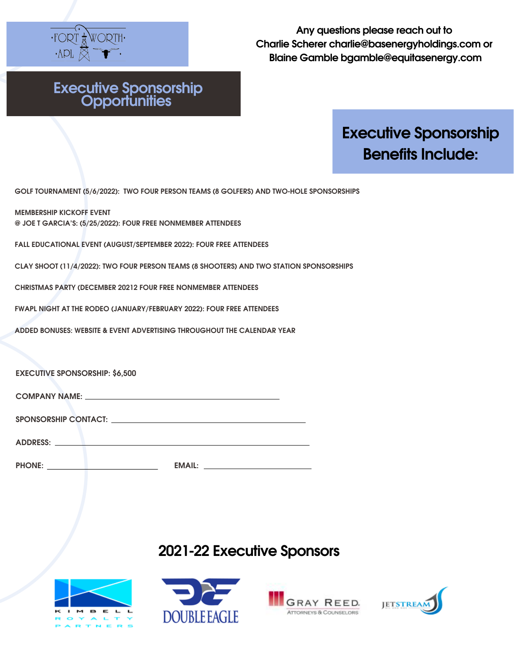

### **Executive Sponsorship Opportunities**

# **Executive Sponsorship Benefits Include:**

**GOLF TOURNAMENT (5/6/2022): TWO FOUR PERSON TEAMS (8 GOLFERS) AND TWO-HOLE SPONSORSHIPS**

**MEMBERSHIP KICKOFF EVENT @ JOE T GARCIA'S: (5/25/2022): FOUR FREE NONMEMBER ATTENDEES**

**FALL EDUCATIONAL EVENT (AUGUST/SEPTEMBER 2022): FOUR FREE ATTENDEES**

**CLAY SHOOT (11/4/2022): TWO FOUR PERSON TEAMS (8 SHOOTERS) AND TWO STATION SPONSORSHIPS**

**CHRISTMAS PARTY (DECEMBER 20212 FOUR FREE NONMEMBER ATTENDEES**

**FWAPL NIGHT AT THE RODEO (JANUARY/FEBRUARY 2022): FOUR FREE ATTENDEES**

**ADDED BONUSES: WEBSITE & EVENT ADVERTISING THROUGHOUT THE CALENDAR YEAR**

**EXECUTIVE SPONSORSHIP: \$6,500**

| <b>COMPANY NAME:</b> |  |  |
|----------------------|--|--|
|                      |  |  |

| <b>SPONSORSHIP CONTACT:</b> |  |
|-----------------------------|--|
|                             |  |

| <b>ADDRESS:</b> |  |  |  |  |
|-----------------|--|--|--|--|
|                 |  |  |  |  |

| <b>PHONE:</b> | -----<br>~~~~~ |  |
|---------------|----------------|--|
|               |                |  |

### **2021-22 Executive Sponsors**